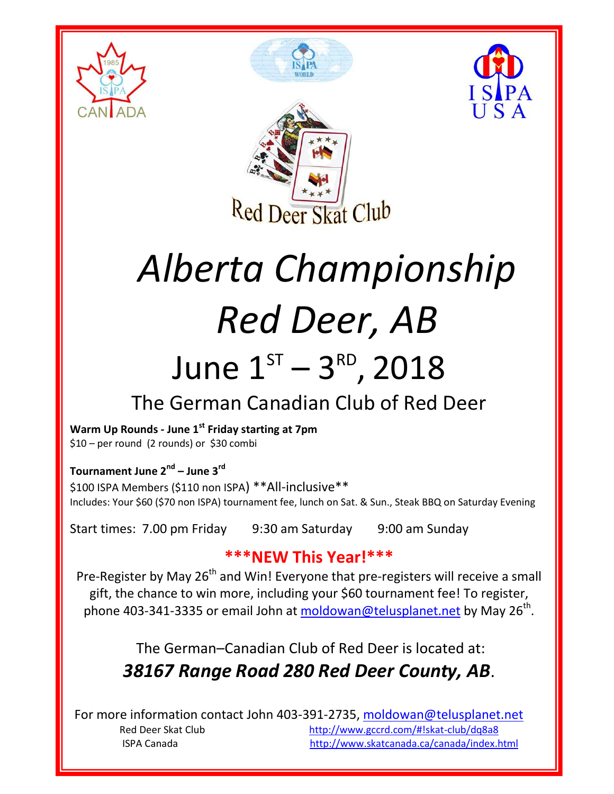







# *Alberta Championship Red Deer, AB*

## June  $1^{ST} - 3^{RD}$ , 2018

### The German Canadian Club of Red Deer

**Warm Up Rounds - June 1 st Friday starting at 7pm** \$10 – per round (2 rounds) or \$30 combi

**Tournament June 2nd – June 3rd**

\$100 ISPA Members (\$110 non ISPA) \*\*All-inclusive\*\* Includes: Your \$60 (\$70 non ISPA) tournament fee, lunch on Sat. & Sun., Steak BBQ on Saturday Evening

Start times: 7.00 pm Friday 9:30 am Saturday 9:00 am Sunday

#### **\*\*\*NEW This Year!\*\*\***

Pre-Register by May 26<sup>th</sup> and Win! Everyone that pre-registers will receive a small gift, the chance to win more, including your \$60 tournament fee! To register, phone 403-341-3335 or email John at **moldowan@telusplanet.net** by May 26<sup>th</sup>.

> The German–Canadian Club of Red Deer is located at: *38167 Range Road 280 Red Deer County, AB*.

For more information contact John 403-391-2735, [moldowan@telusplanet.net](mailto:moldowan@telusplanet.net) Red Deer Skat Club <http://www.gccrd.com/#!skat-club/dq8a8> ISPA Canada <http://www.skatcanada.ca/canada/index.html>